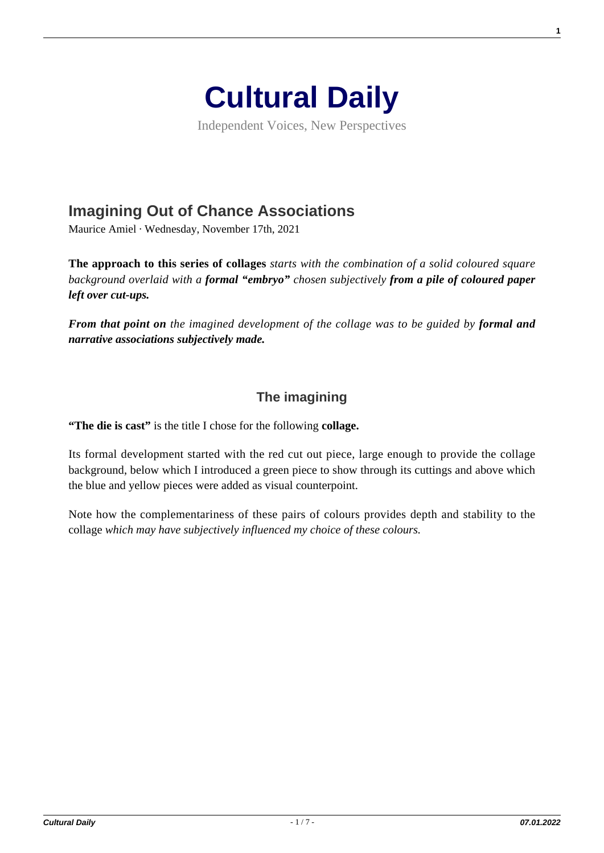

Independent Voices, New Perspectives

## **[Imagining Out of Chance Associations](https://culturaldaily.com/imagining-out-of-chance-associations/)**

Maurice Amiel · Wednesday, November 17th, 2021

**The approach to this series of collages** *starts with the combination of a solid coloured square background overlaid with a formal "embryo" chosen subjectively from a pile of coloured paper left over cut-ups.*

*From that point on the imagined development of the collage was to be guided by formal and narrative associations subjectively made.*

## **The imagining**

**"The die is cast"** is the title I chose for the following **collage.**

Its formal development started with the red cut out piece, large enough to provide the collage background, below which I introduced a green piece to show through its cuttings and above which the blue and yellow pieces were added as visual counterpoint.

Note how the complementariness of these pairs of colours provides depth and stability to the collage *which may have subjectively influenced my choice of these colours.*

**1**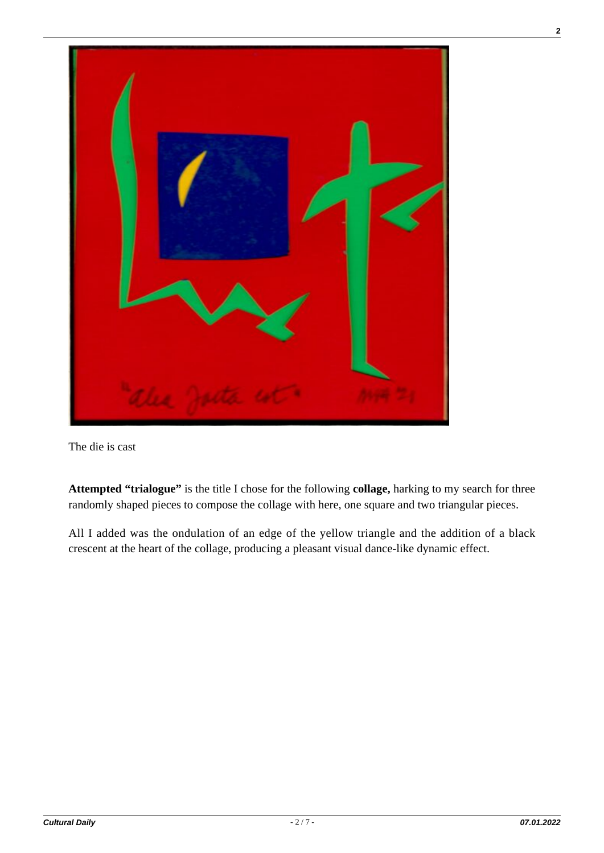

The die is cast

**Attempted "trialogue"** is the title I chose for the following **collage,** harking to my search for three randomly shaped pieces to compose the collage with here, one square and two triangular pieces.

All I added was the ondulation of an edge of the yellow triangle and the addition of a black crescent at the heart of the collage, producing a pleasant visual dance-like dynamic effect.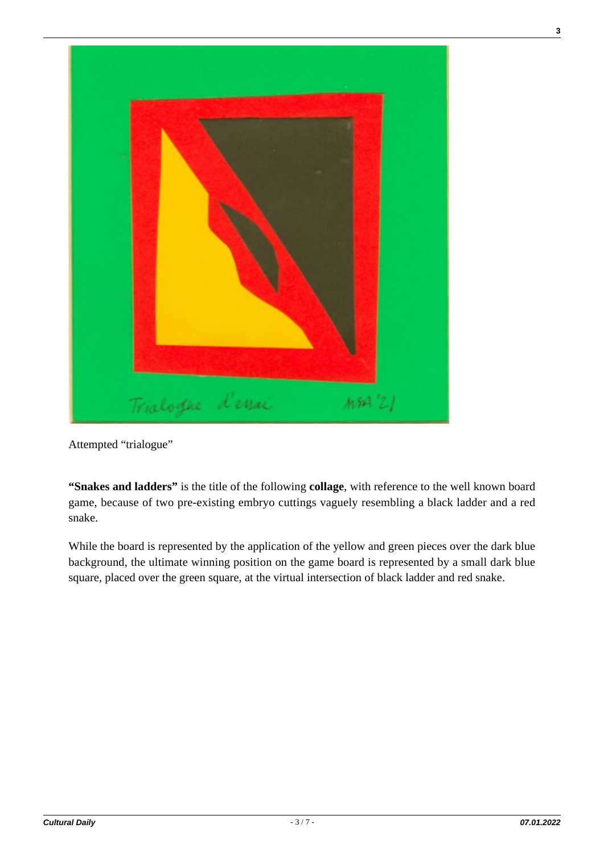

Attempted "trialogue"

**"Snakes and ladders"** is the title of the following **collage**, with reference to the well known board game, because of two pre-existing embryo cuttings vaguely resembling a black ladder and a red snake.

While the board is represented by the application of the yellow and green pieces over the dark blue background, the ultimate winning position on the game board is represented by a small dark blue square, placed over the green square, at the virtual intersection of black ladder and red snake.

**3**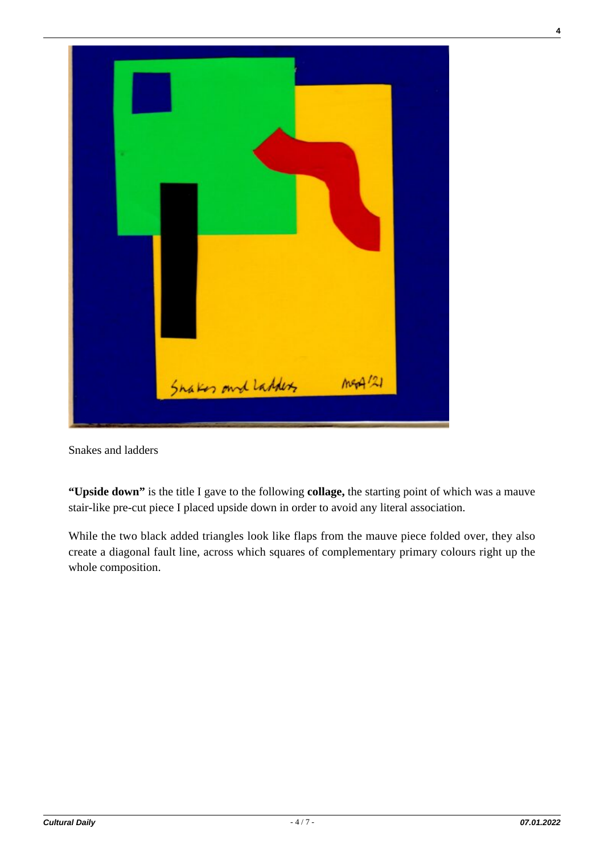

Snakes and ladders

**"Upside down"** is the title I gave to the following **collage,** the starting point of which was a mauve stair-like pre-cut piece I placed upside down in order to avoid any literal association.

While the two black added triangles look like flaps from the mauve piece folded over, they also create a diagonal fault line, across which squares of complementary primary colours right up the whole composition.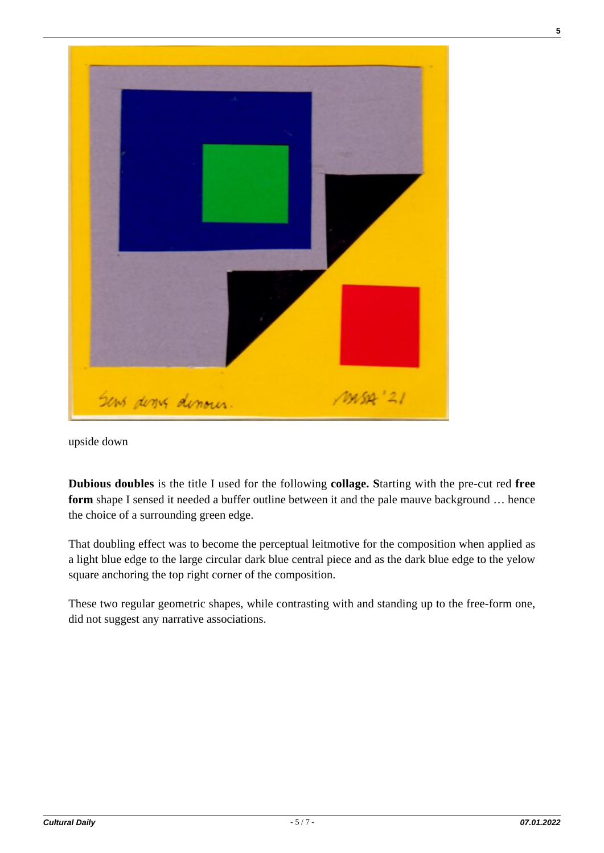

upside down

**Dubious doubles** is the title I used for the following **collage. S**tarting with the pre-cut red **free** form shape I sensed it needed a buffer outline between it and the pale mauve background ... hence the choice of a surrounding green edge.

That doubling effect was to become the perceptual leitmotive for the composition when applied as a light blue edge to the large circular dark blue central piece and as the dark blue edge to the yelow square anchoring the top right corner of the composition.

These two regular geometric shapes, while contrasting with and standing up to the free-form one, did not suggest any narrative associations.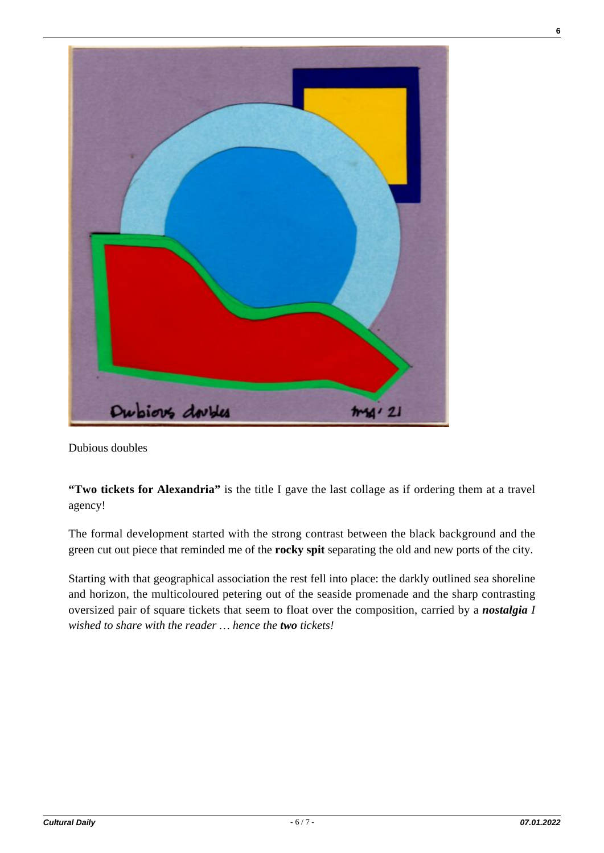

Dubious doubles

**"Two tickets for Alexandria"** is the title I gave the last collage as if ordering them at a travel agency!

The formal development started with the strong contrast between the black background and the green cut out piece that reminded me of the **rocky spit** separating the old and new ports of the city.

Starting with that geographical association the rest fell into place: the darkly outlined sea shoreline and horizon, the multicoloured petering out of the seaside promenade and the sharp contrasting oversized pair of square tickets that seem to float over the composition, carried by a *nostalgia I wished to share with the reader … hence the two tickets!*